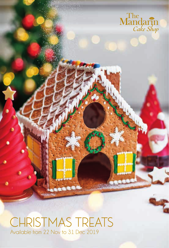

## CHRISTMAS TREATS Available from 22 Nov to 31 Dec 2019

**GREES**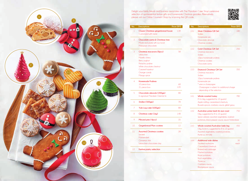

Delight your family, friends and business associates with The Mandarin Cake Shop's extensive selection of quintessential festive gifts and homemade Christmas goodies. Alternatively, please visit our Online Gourment Shop by scanning the QR code.



| No.            | <b>Descriptions</b>                                         | Price (RM) | No.  | <b>Descriptions</b>                                         | Price (RM) |  |
|----------------|-------------------------------------------------------------|------------|------|-------------------------------------------------------------|------------|--|
| $\mathbf{1}$   | Classic Christmas gingerbread house<br>Customized with name | 138        | 13.1 | <b>Silver Christmas Gift Set</b><br>Stollen<br>Homemade jam |            |  |
| $\overline{2}$ | Chocolate santa & Christmas tree                            | 60         |      | Chocolate almonds                                           |            |  |
|                | Made exclusively with our local                             |            |      | Christmas cookies                                           |            |  |
|                | Malaysian chocolate                                         |            |      |                                                             |            |  |
|                |                                                             |            | 13.2 | <b>Gold Christmas Gift Set</b>                              | 250        |  |
| 3              | Christmas macarons (8pcs)                                   | 58         |      | Christmas macarons                                          |            |  |
|                | Lebkuchen                                                   |            |      | Stollen                                                     |            |  |
|                | Morello cherry                                              |            |      | 10pcs homemade pralines                                     |            |  |
|                | Berry yoghurt                                               |            |      | Christmas cookies                                           |            |  |
|                | Pistachio praline                                           |            |      | Chocolate santa                                             |            |  |
|                | White chocolate chestnut                                    |            |      |                                                             |            |  |
|                | Caramel hazelnut                                            |            | 13.3 | <b>Diamond Christmas Gift Set</b>                           | 350        |  |
|                | Orange candy                                                |            |      | Christmas macarons                                          |            |  |
|                | Mango spice                                                 |            |      | Stollen                                                     |            |  |
|                |                                                             |            |      | 10pcs homemade pralines                                     |            |  |
| 4              | <b>Homemade Pralines</b>                                    |            |      | Homemade jam                                                |            |  |
|                | 10 piece box                                                | 68         |      | * wine or champagne                                         |            |  |
|                | 21 piece box                                                | 120        |      | Champagne is subject to additional charge                   |            |  |
|                |                                                             |            |      | depending of the selection                                  |            |  |
| 5              | Chocolate almonds (200gm)                                   | 88         |      |                                                             |            |  |
|                | In signature Mandarin Oriental tin                          |            | 14.1 | Whole roasted turkey                                        | 780        |  |
|                |                                                             |            |      | (5 to 6kg, suggested for 10 guests)                         |            |  |
| 6              | Stollen (500gm)                                             | 78         |      | Apple stuffing, caramelized chestnuts,                      |            |  |
|                |                                                             |            |      | Brussels sprouts, cranberry sauce, giblet gravy             |            |  |
| $\overline{7}$ | Yule Log cake (600gm)                                       | 88         |      |                                                             |            |  |
|                |                                                             |            | 14.2 | Australian prime beef rib eye roast                         | 750        |  |
| 8              | Christmas cake (1kg)                                        | 148        |      | (3kg, suggested for 8 to 10 guests)                         |            |  |
|                |                                                             |            |      | Spice rubbed, assorted vegetables, mashed                   |            |  |
| 9              | Minced pies (4pcs)                                          | 35         |      | potatoes, black pepper sauce, sauce Hollandaise             |            |  |
| 10             | <b>Gingerbread Man cookies</b>                              | 12         | 14.3 | Whole roasted Australian lamb leg                           | 450        |  |
|                |                                                             |            |      | (3kg, bone in, suggested for 8 to 10 guests)                |            |  |
| 11             | <b>Assorted Christmas cookies</b>                           | 28         |      | Assorted vegetables, roasted potatoes,                      |            |  |
|                | Leckerli                                                    |            |      | thyme jus, mint jelly                                       |            |  |
|                | Mailaenderli                                                |            |      |                                                             |            |  |
|                | Cinnamon star                                               |            | 14.4 | <b>Additional side dishes</b>                               | 30         |  |
|                | Lebkuchen chocolate chip                                    |            |      | Sautéed mushrooms                                           | each       |  |
|                |                                                             |            |      | Caramelized chestnuts                                       |            |  |
| 12             | Festive pastry selection                                    | 28         |      | <b>Braised red cabbage</b>                                  |            |  |
|                |                                                             |            |      | Mashed potatoes                                             |            |  |
|                |                                                             |            |      | Roast potatoes                                              |            |  |
|                |                                                             |            |      | Root vegetables                                             |            |  |
|                |                                                             |            |      | Thyme jus                                                   |            |  |
|                |                                                             |            |      | Cranberry sauce                                             |            |  |
|                |                                                             |            |      | <b>Blackpepper sauce</b>                                    |            |  |